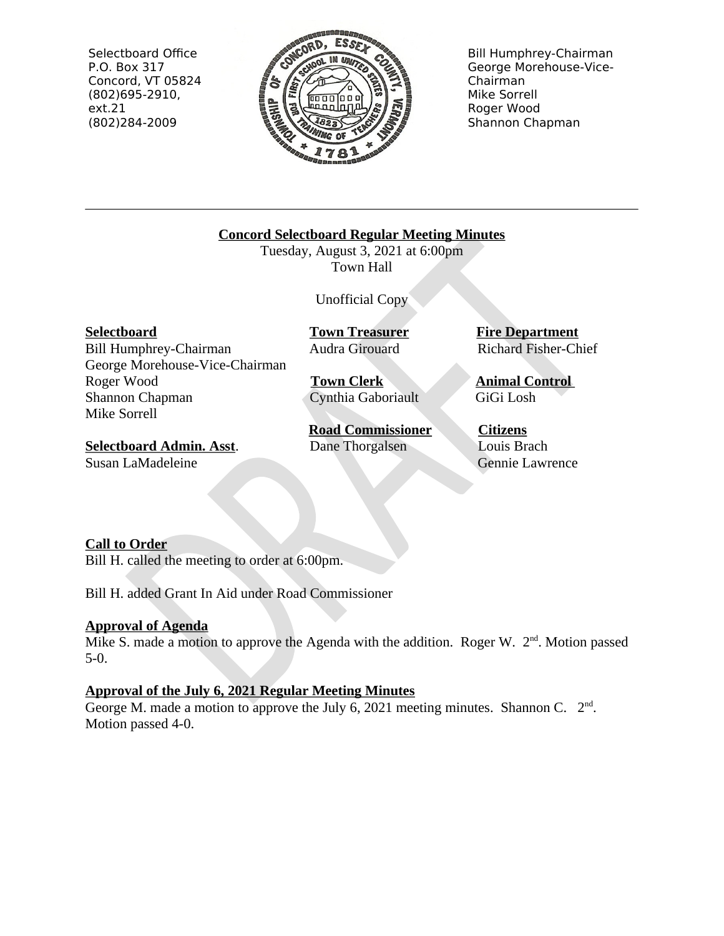Selectboard Office P.O. Box 317 Concord, VT 05824  $(802)695-2910,$  $ext.21$ (802)284-2009



**Bill Humphrey-Chairman** George Morehouse-Vice-Chairman Mike Sorrell Roger Wood Shannon Chapman

**Concord Selectboard Regular Meeting Minutes** 

Tuesday, August 3, 2021 at 6:00pm Town Hall

**Unofficial Copy** 

**Selectboard** 

Bill Humphrey-Chairman George Morehouse-Vice-Chairman Roger Wood Shannon Chapman Mike Sorrell

**Selectboard Admin. Asst.** Susan LaMadeleine

**Town Treasurer** Audra Girouard

**Town Clerk** Cynthia Gaboriault

**Road Commissioner** Dane Thorgalsen

**Fire Department Richard Fisher-Chief** 

**Animal Control** GiGi Losh

**Citizens** Louis Brach Gennie Lawrence

# **Call to Order**

Bill H. called the meeting to order at 6:00pm.

Bill H. added Grant In Aid under Road Commissioner

# **Approval of Agenda**

Mike S. made a motion to approve the Agenda with the addition. Roger W. 2<sup>nd</sup>. Motion passed  $5-0.$ 

# Approval of the July 6, 2021 Regular Meeting Minutes

George M. made a motion to approve the July 6, 2021 meeting minutes. Shannon C.  $2<sup>nd</sup>$ . Motion passed 4-0.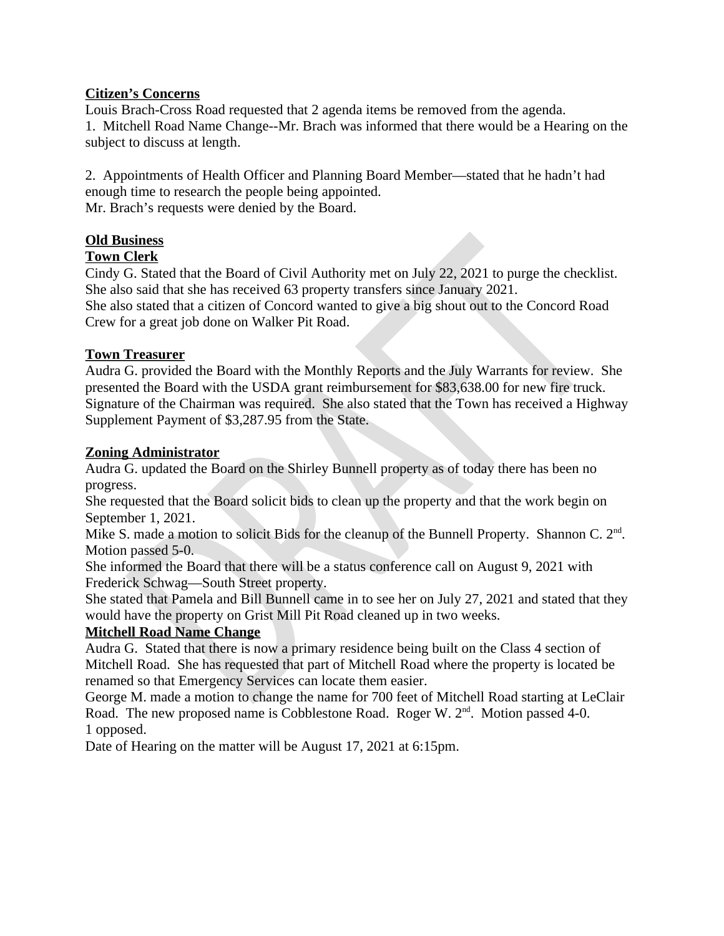# **Citizen's Concerns**

Louis Brach-Cross Road requested that 2 agenda items be removed from the agenda. 1. Mitchell Road Name Change--Mr. Brach was informed that there would be a Hearing on the subject to discuss at length.

2. Appointments of Health Officer and Planning Board Member—stated that he hadn't had enough time to research the people being appointed. Mr. Brach's requests were denied by the Board.

# **Old Business**

## **Town Clerk**

Cindy G. Stated that the Board of Civil Authority met on July 22, 2021 to purge the checklist. She also said that she has received 63 property transfers since January 2021. She also stated that a citizen of Concord wanted to give a big shout out to the Concord Road Crew for a great job done on Walker Pit Road.

## **Town Treasurer**

Audra G. provided the Board with the Monthly Reports and the July Warrants for review. She presented the Board with the USDA grant reimbursement for \$83,638.00 for new fire truck. Signature of the Chairman was required. She also stated that the Town has received a Highway Supplement Payment of \$3,287.95 from the State.

## **Zoning Administrator**

Audra G. updated the Board on the Shirley Bunnell property as of today there has been no progress.

She requested that the Board solicit bids to clean up the property and that the work begin on September 1, 2021.

Mike S. made a motion to solicit Bids for the cleanup of the Bunnell Property. Shannon C. 2<sup>nd</sup>. Motion passed 5-0.

She informed the Board that there will be a status conference call on August 9, 2021 with Frederick Schwag-South Street property.

She stated that Pamela and Bill Bunnell came in to see her on July 27, 2021 and stated that they would have the property on Grist Mill Pit Road cleaned up in two weeks.

# **Mitchell Road Name Change**

Audra G. Stated that there is now a primary residence being built on the Class 4 section of Mitchell Road. She has requested that part of Mitchell Road where the property is located be renamed so that Emergency Services can locate them easier.

George M. made a motion to change the name for 700 feet of Mitchell Road starting at LeClair Road. The new proposed name is Cobblestone Road. Roger W. 2<sup>nd</sup>. Motion passed 4-0. 1 opposed.

Date of Hearing on the matter will be August 17, 2021 at 6:15pm.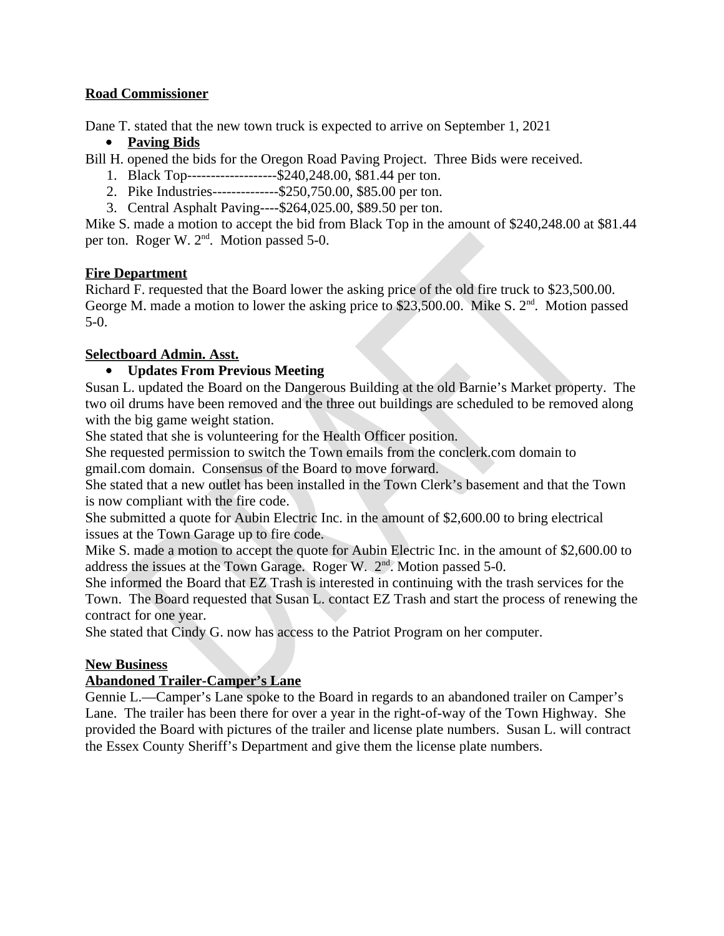# **Road Commissioner**

Dane T. stated that the new town truck is expected to arrive on September 1, 2021

# • Paving Bids

Bill H. opened the bids for the Oregon Road Paving Project. Three Bids were received.

- 1. Black Top--------------------\$240,248.00, \$81.44 per ton.
- 2. Pike Industries--------------\$250,750.00, \$85.00 per ton.
- 3. Central Asphalt Paving---- \$264,025.00, \$89.50 per ton.

Mike S. made a motion to accept the bid from Black Top in the amount of \$240,248.00 at \$81.44 per ton. Roger W. 2<sup>nd</sup>. Motion passed 5-0.

## **Fire Department**

Richard F. requested that the Board lower the asking price of the old fire truck to \$23,500.00. George M. made a motion to lower the asking price to \$23,500.00. Mike S. 2<sup>nd</sup>. Motion passed  $5-0.$ 

## **Selectboard Admin. Asst.**

# • Updates From Previous Meeting

Susan L. updated the Board on the Dangerous Building at the old Barnie's Market property. The two oil drums have been removed and the three out buildings are scheduled to be removed along with the big game weight station.

She stated that she is volunteering for the Health Officer position.

She requested permission to switch the Town emails from the conclerk, com domain to gmail.com domain. Consensus of the Board to move forward.

She stated that a new outlet has been installed in the Town Clerk's basement and that the Town is now compliant with the fire code.

She submitted a quote for Aubin Electric Inc. in the amount of \$2,600.00 to bring electrical issues at the Town Garage up to fire code.

Mike S. made a motion to accept the quote for Aubin Electric Inc. in the amount of \$2,600.00 to address the issues at the Town Garage. Roger W. 2<sup>nd</sup>. Motion passed 5-0.

She informed the Board that EZ Trash is interested in continuing with the trash services for the Town. The Board requested that Susan L. contact EZ Trash and start the process of renewing the contract for one year.

She stated that Cindy G. now has access to the Patriot Program on her computer.

### **New Business**

### **Abandoned Trailer-Camper's Lane**

Gennie L.—Camper's Lane spoke to the Board in regards to an abandoned trailer on Camper's Lane. The trailer has been there for over a year in the right-of-way of the Town Highway. She provided the Board with pictures of the trailer and license plate numbers. Susan L. will contract the Essex County Sheriff's Department and give them the license plate numbers.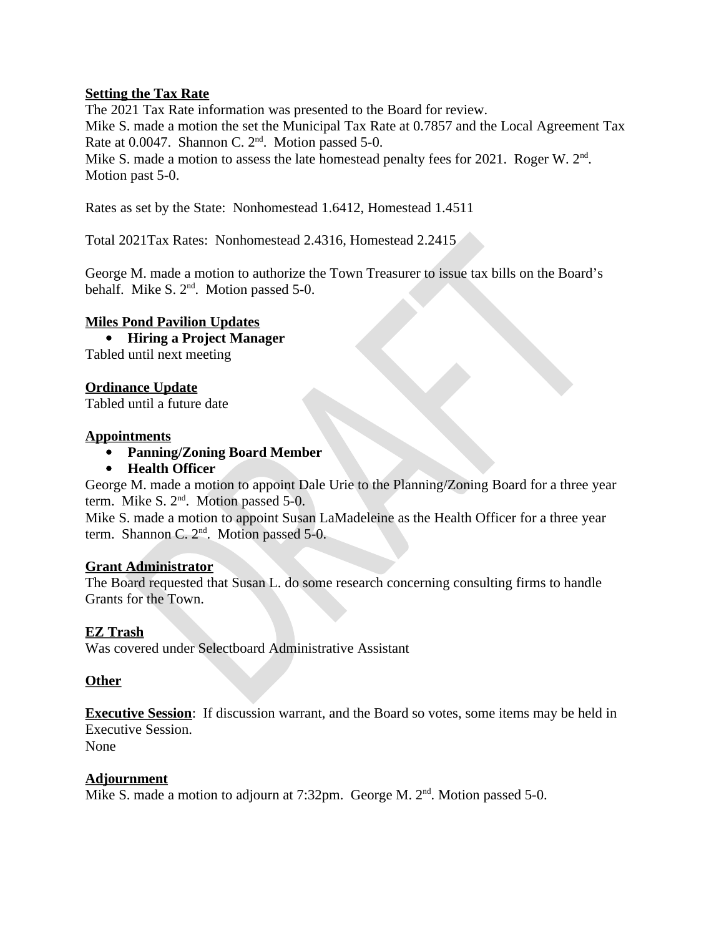## **Setting the Tax Rate**

The 2021 Tax Rate information was presented to the Board for review. Mike S. made a motion the set the Municipal Tax Rate at 0.7857 and the Local Agreement Tax Rate at 0.0047. Shannon C. 2<sup>nd</sup>. Motion passed 5-0. Mike S. made a motion to assess the late homestead penalty fees for 2021. Roger W. 2<sup>nd</sup>. Motion past 5-0.

Rates as set by the State: Nonhomestead 1.6412, Homestead 1.4511

Total 2021Tax Rates: Nonhomestead 2.4316, Homestead 2.2415

George M. made a motion to authorize the Town Treasurer to issue tax bills on the Board's behalf. Mike S. 2<sup>nd</sup>. Motion passed 5-0.

### **Miles Pond Pavilion Updates**

• Hiring a Project Manager Tabled until next meeting

## **Ordinance Update**

Tabled until a future date

#### **Appointments**

- Panning/Zoning Board Member
- Health Officer

George M. made a motion to appoint Dale Urie to the Planning/Zoning Board for a three year term. Mike S. 2<sup>nd</sup>. Motion passed 5-0.

Mike S. made a motion to appoint Susan LaMadeleine as the Health Officer for a three year term. Shannon C.  $2<sup>nd</sup>$ . Motion passed 5-0.

### **Grant Administrator**

The Board requested that Susan L. do some research concerning consulting firms to handle Grants for the Town.

### **EZ Trash**

Was covered under Selectboard Administrative Assistant

### **Other**

**Executive Session:** If discussion warrant, and the Board so votes, some items may be held in **Executive Session. None** 

# **Adjournment**

Mike S. made a motion to adjourn at 7:32pm. George M. 2<sup>nd</sup>. Motion passed 5-0.